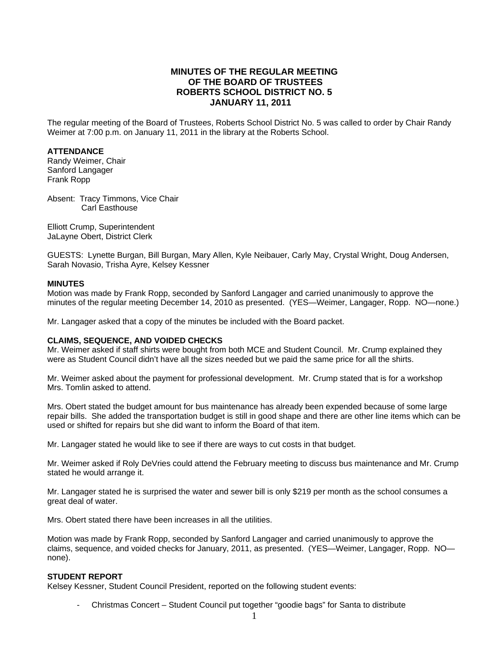# **MINUTES OF THE REGULAR MEETING OF THE BOARD OF TRUSTEES ROBERTS SCHOOL DISTRICT NO. 5 JANUARY 11, 2011**

The regular meeting of the Board of Trustees, Roberts School District No. 5 was called to order by Chair Randy Weimer at 7:00 p.m. on January 11, 2011 in the library at the Roberts School.

#### **ATTENDANCE**

Randy Weimer, Chair Sanford Langager Frank Ropp

Absent: Tracy Timmons, Vice Chair Carl Easthouse

Elliott Crump, Superintendent JaLayne Obert, District Clerk

GUESTS: Lynette Burgan, Bill Burgan, Mary Allen, Kyle Neibauer, Carly May, Crystal Wright, Doug Andersen, Sarah Novasio, Trisha Ayre, Kelsey Kessner

#### **MINUTES**

Motion was made by Frank Ropp, seconded by Sanford Langager and carried unanimously to approve the minutes of the regular meeting December 14, 2010 as presented. (YES—Weimer, Langager, Ropp. NO—none.)

Mr. Langager asked that a copy of the minutes be included with the Board packet.

### **CLAIMS, SEQUENCE, AND VOIDED CHECKS**

Mr. Weimer asked if staff shirts were bought from both MCE and Student Council. Mr. Crump explained they were as Student Council didn't have all the sizes needed but we paid the same price for all the shirts.

Mr. Weimer asked about the payment for professional development. Mr. Crump stated that is for a workshop Mrs. Tomlin asked to attend.

Mrs. Obert stated the budget amount for bus maintenance has already been expended because of some large repair bills. She added the transportation budget is still in good shape and there are other line items which can be used or shifted for repairs but she did want to inform the Board of that item.

Mr. Langager stated he would like to see if there are ways to cut costs in that budget.

Mr. Weimer asked if Roly DeVries could attend the February meeting to discuss bus maintenance and Mr. Crump stated he would arrange it.

Mr. Langager stated he is surprised the water and sewer bill is only \$219 per month as the school consumes a great deal of water.

Mrs. Obert stated there have been increases in all the utilities.

Motion was made by Frank Ropp, seconded by Sanford Langager and carried unanimously to approve the claims, sequence, and voided checks for January, 2011, as presented. (YES—Weimer, Langager, Ropp. NO none).

### **STUDENT REPORT**

Kelsey Kessner, Student Council President, reported on the following student events:

Christmas Concert - Student Council put together "goodie bags" for Santa to distribute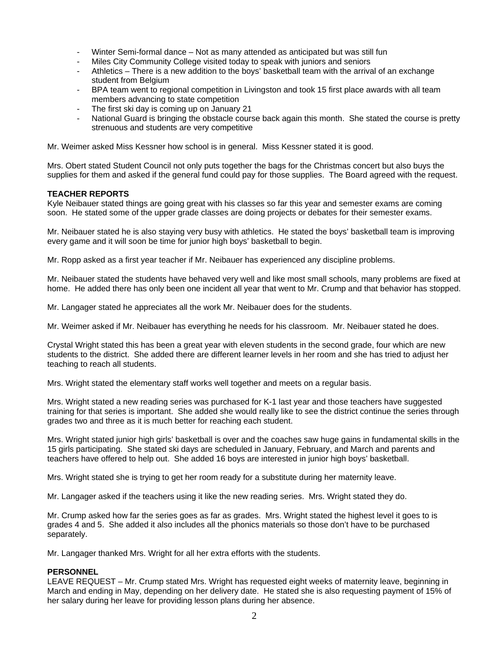- Winter Semi-formal dance Not as many attended as anticipated but was still fun
- Miles City Community College visited today to speak with juniors and seniors
- Athletics There is a new addition to the boys' basketball team with the arrival of an exchange student from Belgium
- BPA team went to regional competition in Livingston and took 15 first place awards with all team members advancing to state competition
- The first ski day is coming up on January 21
- National Guard is bringing the obstacle course back again this month. She stated the course is pretty strenuous and students are very competitive

Mr. Weimer asked Miss Kessner how school is in general. Miss Kessner stated it is good.

Mrs. Obert stated Student Council not only puts together the bags for the Christmas concert but also buys the supplies for them and asked if the general fund could pay for those supplies. The Board agreed with the request.

### **TEACHER REPORTS**

Kyle Neibauer stated things are going great with his classes so far this year and semester exams are coming soon. He stated some of the upper grade classes are doing projects or debates for their semester exams.

Mr. Neibauer stated he is also staying very busy with athletics. He stated the boys' basketball team is improving every game and it will soon be time for junior high boys' basketball to begin.

Mr. Ropp asked as a first year teacher if Mr. Neibauer has experienced any discipline problems.

Mr. Neibauer stated the students have behaved very well and like most small schools, many problems are fixed at home. He added there has only been one incident all year that went to Mr. Crump and that behavior has stopped.

Mr. Langager stated he appreciates all the work Mr. Neibauer does for the students.

Mr. Weimer asked if Mr. Neibauer has everything he needs for his classroom. Mr. Neibauer stated he does.

Crystal Wright stated this has been a great year with eleven students in the second grade, four which are new students to the district. She added there are different learner levels in her room and she has tried to adjust her teaching to reach all students.

Mrs. Wright stated the elementary staff works well together and meets on a regular basis.

Mrs. Wright stated a new reading series was purchased for K-1 last year and those teachers have suggested training for that series is important. She added she would really like to see the district continue the series through grades two and three as it is much better for reaching each student.

Mrs. Wright stated junior high girls' basketball is over and the coaches saw huge gains in fundamental skills in the 15 girls participating. She stated ski days are scheduled in January, February, and March and parents and teachers have offered to help out. She added 16 boys are interested in junior high boys' basketball.

Mrs. Wright stated she is trying to get her room ready for a substitute during her maternity leave.

Mr. Langager asked if the teachers using it like the new reading series. Mrs. Wright stated they do.

Mr. Crump asked how far the series goes as far as grades. Mrs. Wright stated the highest level it goes to is grades 4 and 5. She added it also includes all the phonics materials so those don't have to be purchased separately.

Mr. Langager thanked Mrs. Wright for all her extra efforts with the students.

### **PERSONNEL**

LEAVE REQUEST – Mr. Crump stated Mrs. Wright has requested eight weeks of maternity leave, beginning in March and ending in May, depending on her delivery date. He stated she is also requesting payment of 15% of her salary during her leave for providing lesson plans during her absence.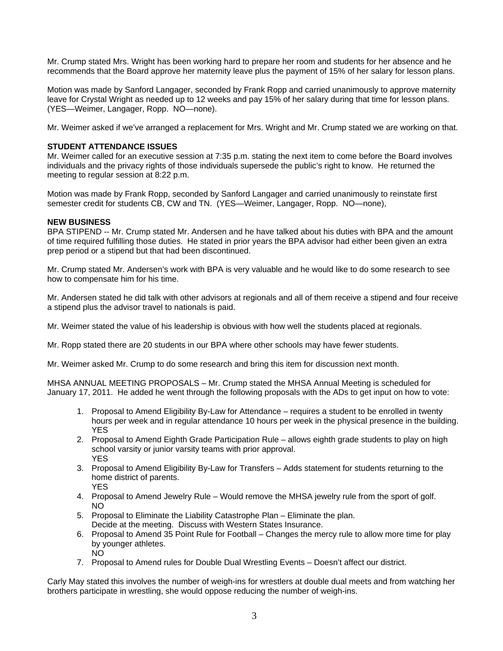Mr. Crump stated Mrs. Wright has been working hard to prepare her room and students for her absence and he recommends that the Board approve her maternity leave plus the payment of 15% of her salary for lesson plans.

Motion was made by Sanford Langager, seconded by Frank Ropp and carried unanimously to approve maternity leave for Crystal Wright as needed up to 12 weeks and pay 15% of her salary during that time for lesson plans. (YES—Weimer, Langager, Ropp. NO—none).

Mr. Weimer asked if we've arranged a replacement for Mrs. Wright and Mr. Crump stated we are working on that.

## **STUDENT ATTENDANCE ISSUES**

Mr. Weimer called for an executive session at 7:35 p.m. stating the next item to come before the Board involves individuals and the privacy rights of those individuals supersede the public's right to know. He returned the meeting to regular session at 8:22 p.m.

Motion was made by Frank Ropp, seconded by Sanford Langager and carried unanimously to reinstate first semester credit for students CB, CW and TN. (YES—Weimer, Langager, Ropp. NO—none),

## **NEW BUSINESS**

BPA STIPEND -- Mr. Crump stated Mr. Andersen and he have talked about his duties with BPA and the amount of time required fulfilling those duties. He stated in prior years the BPA advisor had either been given an extra prep period or a stipend but that had been discontinued.

Mr. Crump stated Mr. Andersen's work with BPA is very valuable and he would like to do some research to see how to compensate him for his time.

Mr. Andersen stated he did talk with other advisors at regionals and all of them receive a stipend and four receive a stipend plus the advisor travel to nationals is paid.

Mr. Weimer stated the value of his leadership is obvious with how well the students placed at regionals.

Mr. Ropp stated there are 20 students in our BPA where other schools may have fewer students.

Mr. Weimer asked Mr. Crump to do some research and bring this item for discussion next month.

MHSA ANNUAL MEETING PROPOSALS – Mr. Crump stated the MHSA Annual Meeting is scheduled for January 17, 2011. He added he went through the following proposals with the ADs to get input on how to vote:

- 1. Proposal to Amend Eligibility By-Law for Attendance requires a student to be enrolled in twenty hours per week and in regular attendance 10 hours per week in the physical presence in the building. YES
- 2. Proposal to Amend Eighth Grade Participation Rule allows eighth grade students to play on high school varsity or junior varsity teams with prior approval. YES
- 3. Proposal to Amend Eligibility By-Law for Transfers Adds statement for students returning to the home district of parents. YES
- 4. Proposal to Amend Jewelry Rule Would remove the MHSA jewelry rule from the sport of golf. NO
- 5. Proposal to Eliminate the Liability Catastrophe Plan Eliminate the plan. Decide at the meeting. Discuss with Western States Insurance.
- 6. Proposal to Amend 35 Point Rule for Football Changes the mercy rule to allow more time for play by younger athletes. NO
- 7. Proposal to Amend rules for Double Dual Wrestling Events Doesn't affect our district.

Carly May stated this involves the number of weigh-ins for wrestlers at double dual meets and from watching her brothers participate in wrestling, she would oppose reducing the number of weigh-ins.